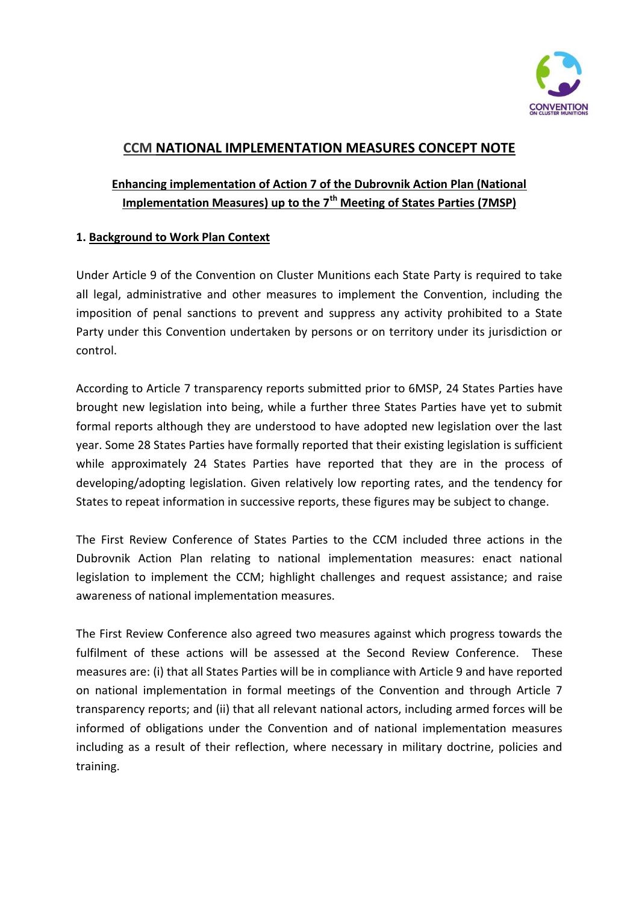

# **CCM NATIONAL IMPLEMENTATION MEASURES CONCEPT NOTE**

# **Enhancing implementation of Action 7 of the Dubrovnik Action Plan (National Implementation Measures) up to the 7th Meeting of States Parties (7MSP)**

### **1. Background to Work Plan Context**

Under Article 9 of the Convention on Cluster Munitions each State Party is required to take all legal, administrative and other measures to implement the Convention, including the imposition of penal sanctions to prevent and suppress any activity prohibited to a State Party under this Convention undertaken by persons or on territory under its jurisdiction or control.

According to Article 7 transparency reports submitted prior to 6MSP, 24 States Parties have brought new legislation into being, while a further three States Parties have yet to submit formal reports although they are understood to have adopted new legislation over the last year. Some 28 States Parties have formally reported that their existing legislation is sufficient while approximately 24 States Parties have reported that they are in the process of developing/adopting legislation. Given relatively low reporting rates, and the tendency for States to repeat information in successive reports, these figures may be subject to change.

The First Review Conference of States Parties to the CCM included three actions in the Dubrovnik Action Plan relating to national implementation measures: enact national legislation to implement the CCM; highlight challenges and request assistance; and raise awareness of national implementation measures.

The First Review Conference also agreed two measures against which progress towards the fulfilment of these actions will be assessed at the Second Review Conference. These measures are: (i) that all States Parties will be in compliance with Article 9 and have reported on national implementation in formal meetings of the Convention and through Article 7 transparency reports; and (ii) that all relevant national actors, including armed forces will be informed of obligations under the Convention and of national implementation measures including as a result of their reflection, where necessary in military doctrine, policies and training.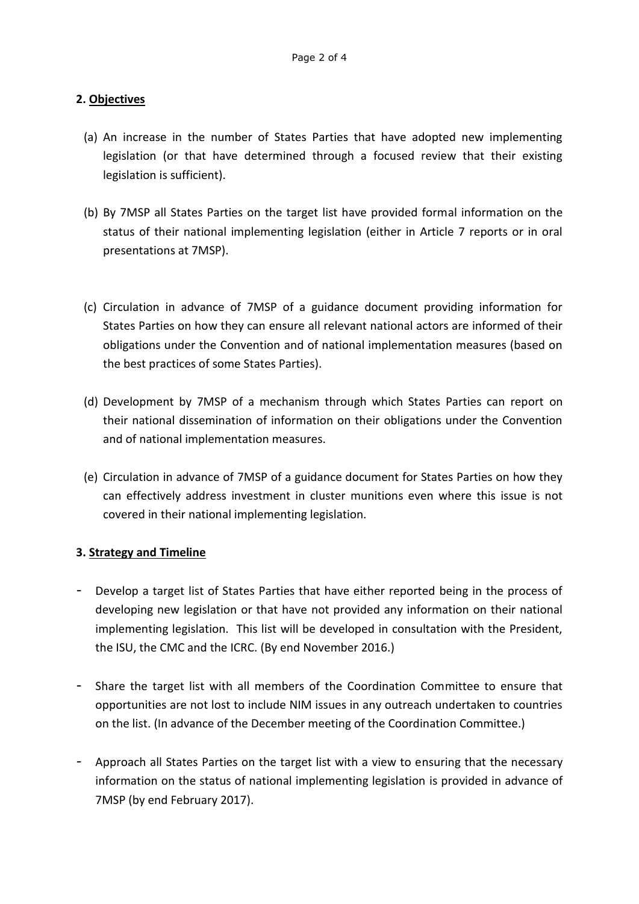### **2. Objectives**

- (a) An increase in the number of States Parties that have adopted new implementing legislation (or that have determined through a focused review that their existing legislation is sufficient).
- (b) By 7MSP all States Parties on the target list have provided formal information on the status of their national implementing legislation (either in Article 7 reports or in oral presentations at 7MSP).
- (c) Circulation in advance of 7MSP of a guidance document providing information for States Parties on how they can ensure all relevant national actors are informed of their obligations under the Convention and of national implementation measures (based on the best practices of some States Parties).
- (d) Development by 7MSP of a mechanism through which States Parties can report on their national dissemination of information on their obligations under the Convention and of national implementation measures.
- (e) Circulation in advance of 7MSP of a guidance document for States Parties on how they can effectively address investment in cluster munitions even where this issue is not covered in their national implementing legislation.

### **3. Strategy and Timeline**

- Develop a target list of States Parties that have either reported being in the process of developing new legislation or that have not provided any information on their national implementing legislation. This list will be developed in consultation with the President, the ISU, the CMC and the ICRC. (By end November 2016.)
- Share the target list with all members of the Coordination Committee to ensure that opportunities are not lost to include NIM issues in any outreach undertaken to countries on the list. (In advance of the December meeting of the Coordination Committee.)
- Approach all States Parties on the target list with a view to ensuring that the necessary information on the status of national implementing legislation is provided in advance of 7MSP (by end February 2017).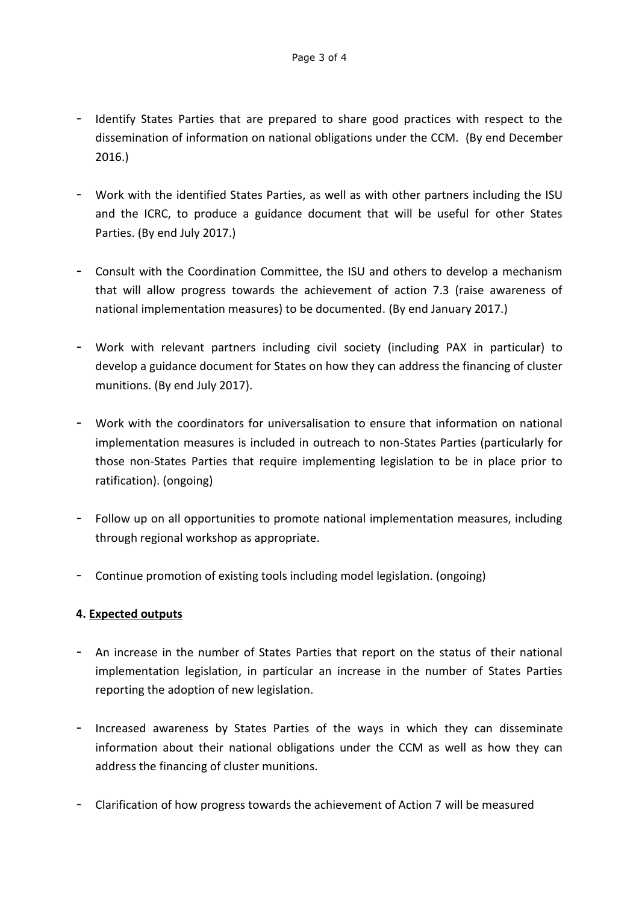- Identify States Parties that are prepared to share good practices with respect to the dissemination of information on national obligations under the CCM. (By end December 2016.)
- Work with the identified States Parties, as well as with other partners including the ISU and the ICRC, to produce a guidance document that will be useful for other States Parties. (By end July 2017.)
- Consult with the Coordination Committee, the ISU and others to develop a mechanism that will allow progress towards the achievement of action 7.3 (raise awareness of national implementation measures) to be documented. (By end January 2017.)
- Work with relevant partners including civil society (including PAX in particular) to develop a guidance document for States on how they can address the financing of cluster munitions. (By end July 2017).
- Work with the coordinators for universalisation to ensure that information on national implementation measures is included in outreach to non-States Parties (particularly for those non-States Parties that require implementing legislation to be in place prior to ratification). (ongoing)
- Follow up on all opportunities to promote national implementation measures, including through regional workshop as appropriate.
- Continue promotion of existing tools including model legislation. (ongoing)

### **4. Expected outputs**

- An increase in the number of States Parties that report on the status of their national implementation legislation, in particular an increase in the number of States Parties reporting the adoption of new legislation.
- Increased awareness by States Parties of the ways in which they can disseminate information about their national obligations under the CCM as well as how they can address the financing of cluster munitions.
- Clarification of how progress towards the achievement of Action 7 will be measured